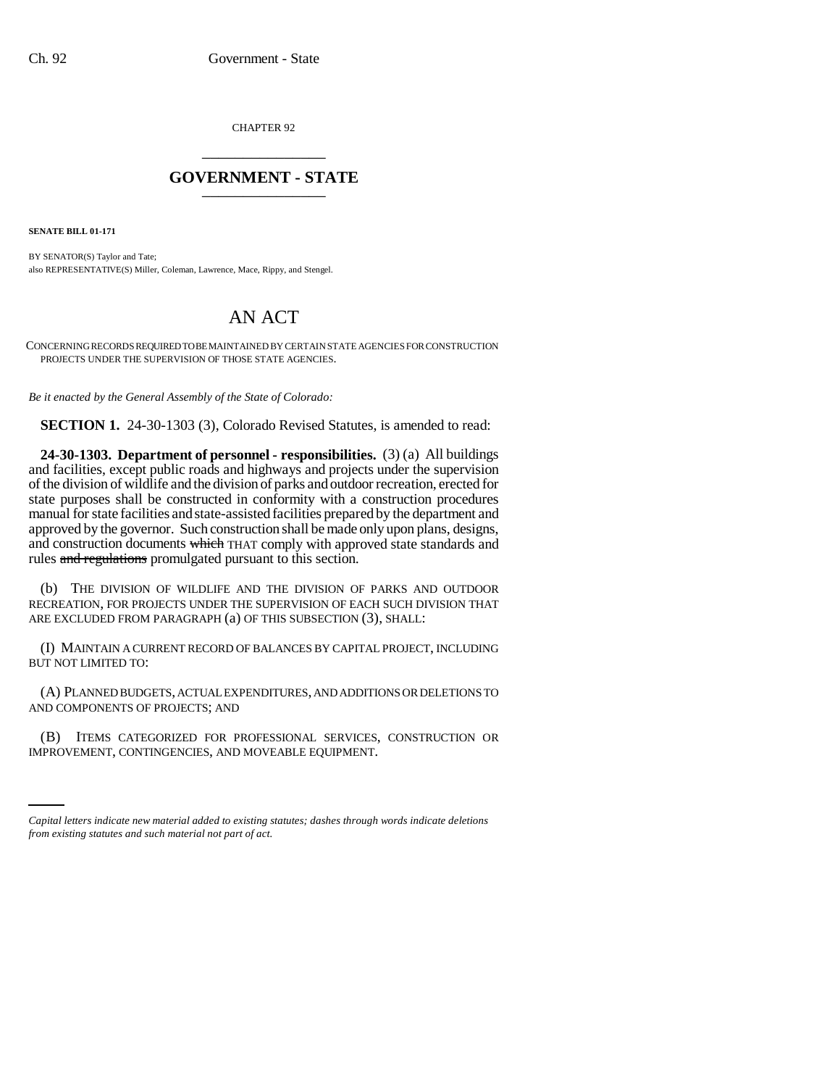CHAPTER 92 \_\_\_\_\_\_\_\_\_\_\_\_\_\_\_

## **GOVERNMENT - STATE** \_\_\_\_\_\_\_\_\_\_\_\_\_\_\_

**SENATE BILL 01-171**

BY SENATOR(S) Taylor and Tate; also REPRESENTATIVE(S) Miller, Coleman, Lawrence, Mace, Rippy, and Stengel.

## AN ACT

CONCERNING RECORDS REQUIRED TO BE MAINTAINED BY CERTAIN STATE AGENCIES FOR CONSTRUCTION PROJECTS UNDER THE SUPERVISION OF THOSE STATE AGENCIES.

*Be it enacted by the General Assembly of the State of Colorado:*

**SECTION 1.** 24-30-1303 (3), Colorado Revised Statutes, is amended to read:

**24-30-1303. Department of personnel - responsibilities.** (3) (a) All buildings and facilities, except public roads and highways and projects under the supervision of the division of wildlife and the division of parks and outdoor recreation, erected for state purposes shall be constructed in conformity with a construction procedures manual for state facilities and state-assisted facilities prepared by the department and approved by the governor. Such construction shall be made only upon plans, designs, and construction documents which THAT comply with approved state standards and rules and regulations promulgated pursuant to this section.

(b) THE DIVISION OF WILDLIFE AND THE DIVISION OF PARKS AND OUTDOOR RECREATION, FOR PROJECTS UNDER THE SUPERVISION OF EACH SUCH DIVISION THAT ARE EXCLUDED FROM PARAGRAPH (a) OF THIS SUBSECTION (3), SHALL:

(I) MAINTAIN A CURRENT RECORD OF BALANCES BY CAPITAL PROJECT, INCLUDING BUT NOT LIMITED TO:

(A) PLANNED BUDGETS, ACTUAL EXPENDITURES, AND ADDITIONS OR DELETIONS TO AND COMPONENTS OF PROJECTS; AND

(B) ITEMS CATEGORIZED FOR PROFESSIONAL SERVICES, CONSTRUCTION OR IMPROVEMENT, CONTINGENCIES, AND MOVEABLE EQUIPMENT.

*Capital letters indicate new material added to existing statutes; dashes through words indicate deletions from existing statutes and such material not part of act.*